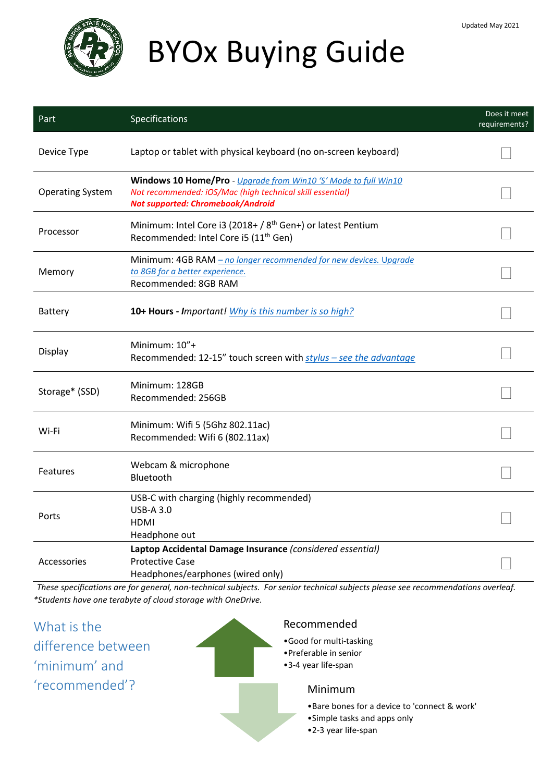

# BYOx Buying Guide

| Part                    | Specifications                                                                                                                                                    | Does it meet<br>requirements? |
|-------------------------|-------------------------------------------------------------------------------------------------------------------------------------------------------------------|-------------------------------|
| Device Type             | Laptop or tablet with physical keyboard (no on-screen keyboard)                                                                                                   |                               |
| <b>Operating System</b> | Windows 10 Home/Pro - Upgrade from Win10 'S' Mode to full Win10<br>Not recommended: iOS/Mac (high technical skill essential)<br>Not supported: Chromebook/Android |                               |
| Processor               | Minimum: Intel Core i3 (2018+ / 8 <sup>th</sup> Gen+) or latest Pentium<br>Recommended: Intel Core i5 (11 <sup>th</sup> Gen)                                      |                               |
| Memory                  | Minimum: 4GB RAM - no longer recommended for new devices. Upgrade<br>to 8GB for a better experience.<br>Recommended: 8GB RAM                                      |                               |
| Battery                 | 10+ Hours - Important! Why is this number is so high?                                                                                                             |                               |
| Display                 | Minimum: 10"+<br>Recommended: 12-15" touch screen with stylus - see the advantage                                                                                 |                               |
| Storage* (SSD)          | Minimum: 128GB<br>Recommended: 256GB                                                                                                                              |                               |
| Wi-Fi                   | Minimum: Wifi 5 (5Ghz 802.11ac)<br>Recommended: Wifi 6 (802.11ax)                                                                                                 |                               |
| <b>Features</b>         | Webcam & microphone<br>Bluetooth                                                                                                                                  |                               |
| Ports                   | USB-C with charging (highly recommended)<br><b>USB-A 3.0</b><br><b>HDMI</b><br>Headphone out                                                                      |                               |
| Accessories             | Laptop Accidental Damage Insurance (considered essential)<br><b>Protective Case</b><br>Headphones/earphones (wired only)                                          |                               |

*These specifications are for general, non-technical subjects. For senior technical subjects please see recommendations overleaf. \*Students have one terabyte of cloud storage with OneDrive.*

What is the difference between 'minimum' and 'recommended'? Recommended •Good for multi-tasking •Preferable in senior •3-4 year life-span Minimum •Bare bones for a device to 'connect & work' •Simple tasks and apps only •2-3 year life-span